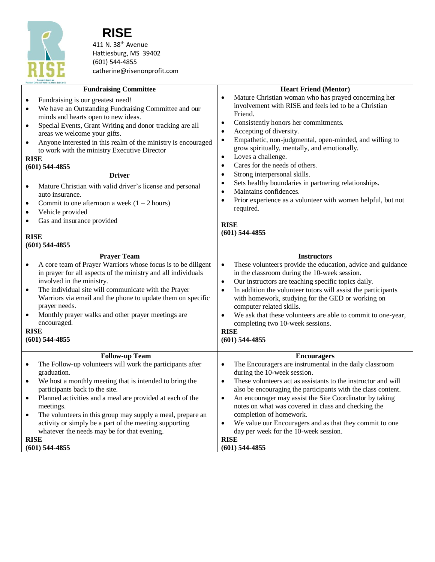

## **RISE**

411 N. 38<sup>th</sup> Avenue Hattiesburg, MS 39402 (601) 544-4855 catherine@risenonprofit.com

| PineBelt Christian Women & Men's Job Corp<br><b>Fundraising Committee</b>                                                                  | <b>Heart Friend (Mentor)</b>                                                                                                               |
|--------------------------------------------------------------------------------------------------------------------------------------------|--------------------------------------------------------------------------------------------------------------------------------------------|
| Fundraising is our greatest need!<br>$\bullet$                                                                                             | Mature Christian woman who has prayed concerning her<br>$\bullet$                                                                          |
| We have an Outstanding Fundraising Committee and our<br>$\bullet$<br>minds and hearts open to new ideas.                                   | involvement with RISE and feels led to be a Christian<br>Friend.                                                                           |
| Special Events, Grant Writing and donor tracking are all<br>$\bullet$                                                                      | Consistently honors her commitments.<br>$\bullet$                                                                                          |
| areas we welcome your gifts.                                                                                                               | Accepting of diversity.<br>$\bullet$                                                                                                       |
| Anyone interested in this realm of the ministry is encouraged<br>$\bullet$                                                                 | Empathetic, non-judgmental, open-minded, and willing to<br>$\bullet$<br>grow spiritually, mentally, and emotionally.                       |
| to work with the ministry Executive Director<br><b>RISE</b>                                                                                | Loves a challenge.<br>$\bullet$                                                                                                            |
| $(601)$ 544-4855                                                                                                                           | Cares for the needs of others.<br>$\bullet$                                                                                                |
| <b>Driver</b>                                                                                                                              | Strong interpersonal skills.<br>$\bullet$                                                                                                  |
| Mature Christian with valid driver's license and personal                                                                                  | Sets healthy boundaries in partnering relationships.<br>$\bullet$<br>Maintains confidences.                                                |
| auto insurance.                                                                                                                            | $\bullet$<br>Prior experience as a volunteer with women helpful, but not<br>$\bullet$                                                      |
| Commit to one afternoon a week $(1 – 2 hours)$<br>$\bullet$<br>Vehicle provided<br>$\bullet$                                               | required.                                                                                                                                  |
| Gas and insurance provided                                                                                                                 |                                                                                                                                            |
|                                                                                                                                            | <b>RISE</b><br>$(601)$ 544-4855                                                                                                            |
| <b>RISE</b>                                                                                                                                |                                                                                                                                            |
| $(601)$ 544-4855                                                                                                                           |                                                                                                                                            |
| <b>Prayer Team</b>                                                                                                                         | <b>Instructors</b>                                                                                                                         |
| A core team of Prayer Warriors whose focus is to be diligent<br>$\bullet$<br>in prayer for all aspects of the ministry and all individuals | These volunteers provide the education, advice and guidance<br>$\bullet$<br>in the classroom during the 10-week session.                   |
| involved in the ministry.                                                                                                                  | Our instructors are teaching specific topics daily.<br>$\bullet$                                                                           |
| The individual site will communicate with the Prayer<br>$\bullet$                                                                          | In addition the volunteer tutors will assist the participants<br>$\bullet$                                                                 |
| Warriors via email and the phone to update them on specific                                                                                | with homework, studying for the GED or working on                                                                                          |
| prayer needs.<br>Monthly prayer walks and other prayer meetings are<br>$\bullet$                                                           | computer related skills.<br>We ask that these volunteers are able to commit to one-year,<br>$\bullet$                                      |
| encouraged.                                                                                                                                | completing two 10-week sessions.                                                                                                           |
| <b>RISE</b>                                                                                                                                | <b>RISE</b>                                                                                                                                |
| $(601)$ 544-4855                                                                                                                           | $(601)$ 544-4855                                                                                                                           |
| <b>Follow-up Team</b>                                                                                                                      | <b>Encouragers</b>                                                                                                                         |
| The Follow-up volunteers will work the participants after                                                                                  | The Encouragers are instrumental in the daily classroom<br>$\bullet$                                                                       |
| graduation.                                                                                                                                | during the 10-week session.                                                                                                                |
| We host a monthly meeting that is intended to bring the<br>$\bullet$<br>participants back to the site.                                     | These volunteers act as assistants to the instructor and will<br>$\bullet$<br>also be encouraging the participants with the class content. |
| Planned activities and a meal are provided at each of the<br>$\bullet$                                                                     | An encourager may assist the Site Coordinator by taking<br>$\bullet$                                                                       |
| meetings.                                                                                                                                  | notes on what was covered in class and checking the                                                                                        |
| The volunteers in this group may supply a meal, prepare an<br>$\bullet$                                                                    | completion of homework.                                                                                                                    |
| activity or simply be a part of the meeting supporting<br>whatever the needs may be for that evening.                                      | We value our Encouragers and as that they commit to one<br>$\bullet$<br>day per week for the 10-week session.                              |
| <b>RISE</b>                                                                                                                                | <b>RISE</b>                                                                                                                                |
| $(601)$ 544-4855                                                                                                                           | $(601)$ 544-4855                                                                                                                           |